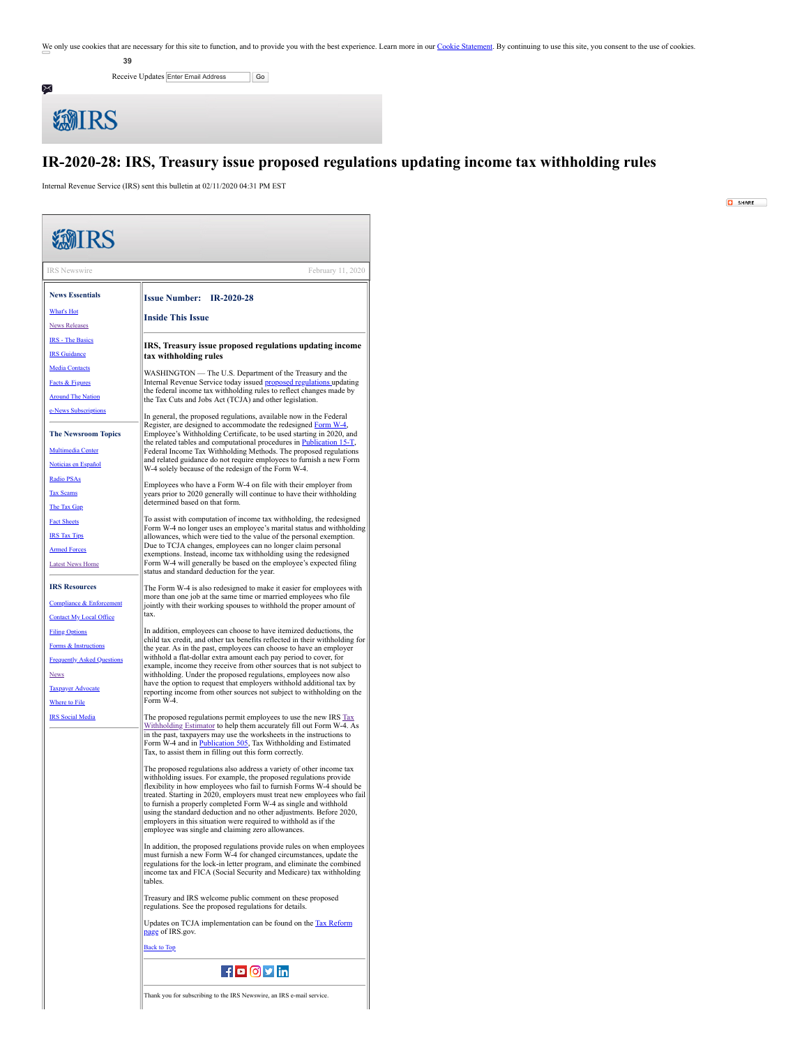We only use cookies that are necessary for this site to function, and to provide you with the best experience. Learn more in our [Cookie Statement](https://subscriberhelp.granicus.com/s/article/Cookies). By continuing to use this site, you consent to the use of cookies.

**39**

Receive Updates Enter Email Address | Go



## **IR-2020-28: IRS, Treasury issue proposed regulations updating income tax withholding rules**

Internal Revenue Service (IRS) sent this bulletin at 02/11/2020 04:31 PM EST

 $\boxed{O}$  SHARE

<span id="page-0-0"></span>

| <b>類IRS</b>                         |                                                                                                                                                   |
|-------------------------------------|---------------------------------------------------------------------------------------------------------------------------------------------------|
|                                     |                                                                                                                                                   |
| <b>IRS</b> Newswire                 | February 11, 2020                                                                                                                                 |
| <b>News Essentials</b>              | <b>Issue Number: IR-2020-28</b>                                                                                                                   |
| <b>What's Hot</b>                   | <b>Inside This Issue</b>                                                                                                                          |
| <b>News Releases</b>                |                                                                                                                                                   |
| <b>IRS</b> - The Basics             | IRS, Treasury issue proposed regulations updating income                                                                                          |
| <b>IRS</b> Guidance                 | tax withholding rules                                                                                                                             |
| <b>Media Contacts</b>               | WASHINGTON — The U.S. Department of the Treasury and the                                                                                          |
| Facts & Figures                     | Internal Revenue Service today issued <b>proposed regulations</b> updating<br>the federal income tax withholding rules to reflect changes made by |
| <b>Around The Nation</b>            | the Tax Cuts and Jobs Act (TCJA) and other legislation.                                                                                           |
| e-News Subscriptions                | In general, the proposed regulations, available now in the Federal                                                                                |
| <b>The Newsroom Topics</b>          | Register, are designed to accommodate the redesigned Form W-4,<br>Employee's Withholding Certificate, to be used starting in 2020, and            |
| <b>Multimedia Center</b>            | the related tables and computational procedures in Publication 15-T,<br>Federal Income Tax Withholding Methods. The proposed regulations          |
| Noticias en Español                 | and related guidance do not require employees to furnish a new Form<br>W-4 solely because of the redesign of the Form W-4.                        |
| Radio PSAs                          |                                                                                                                                                   |
| <b>Tax Scams</b>                    | Employees who have a Form W-4 on file with their employer from<br>years prior to 2020 generally will continue to have their withholding           |
| The Tax Gap                         | determined based on that form.                                                                                                                    |
| <b>Fact Sheets</b>                  | To assist with computation of income tax withholding, the redesigned<br>Form W-4 no longer uses an employee's marital status and withholding      |
| <b>IRS Tax Tips</b>                 | allowances, which were tied to the value of the personal exemption.                                                                               |
| <b>Armed Forces</b>                 | Due to TCJA changes, employees can no longer claim personal<br>exemptions. Instead, income tax withholding using the redesigned                   |
| <b>Latest News Home</b>             | Form W-4 will generally be based on the employee's expected filing<br>status and standard deduction for the year.                                 |
| <b>IRS Resources</b>                | The Form W-4 is also redesigned to make it easier for employees with                                                                              |
| <b>Compliance &amp; Enforcement</b> | more than one job at the same time or married employees who file<br>jointly with their working spouses to withhold the proper amount of           |
| <b>Contact My Local Office</b>      | tax.                                                                                                                                              |
| <b>Filing Options</b>               | In addition, employees can choose to have itemized deductions, the                                                                                |
| Forms & Instructions                | child tax credit, and other tax benefits reflected in their withholding for<br>the year. As in the past, employees can choose to have an employer |
| <b>Frequently Asked Questions</b>   | withhold a flat-dollar extra amount each pay period to cover, for<br>example, income they receive from other sources that is not subject to       |
| <u>News</u>                         | withholding. Under the proposed regulations, employees now also                                                                                   |
| <b>Taxpayer Advocate</b>            | have the option to request that employers withhold additional tax by<br>reporting income from other sources not subject to withholding on the     |
| Where to File                       | Form W-4.                                                                                                                                         |
| <b>IRS</b> Social Media             | The proposed regulations permit employees to use the new IRS Tax<br>Withholding Estimator to help them accurately fill out Form W-4. As           |
|                                     | in the past, taxpayers may use the worksheets in the instructions to                                                                              |
|                                     | Form W-4 and in Publication 505, Tax Withholding and Estimated<br>Tax, to assist them in filling out this form correctly.                         |
|                                     | The proposed regulations also address a variety of other income tax                                                                               |
|                                     | withholding issues. For example, the proposed regulations provide<br>flexibility in how employees who fail to furnish Forms W-4 should be         |
|                                     | treated. Starting in 2020, employers must treat new employees who fail                                                                            |
|                                     | to furnish a properly completed Form W-4 as single and withhold<br>using the standard deduction and no other adjustments. Before 2020,            |
|                                     | employers in this situation were required to withhold as if the<br>employee was single and claiming zero allowances.                              |
|                                     | In addition, the proposed regulations provide rules on when employees                                                                             |
|                                     | must furnish a new Form W-4 for changed circumstances, update the                                                                                 |
|                                     | regulations for the lock-in letter program, and eliminate the combined<br>income tax and FICA (Social Security and Medicare) tax withholding      |
|                                     | tables.                                                                                                                                           |
|                                     | Treasury and IRS welcome public comment on these proposed<br>regulations. See the proposed regulations for details.                               |
|                                     | Updates on TCJA implementation can be found on the Tax Reform<br>page of IRS.gov.                                                                 |
|                                     | <b>Back to Top</b>                                                                                                                                |
|                                     | <b>fo ovin</b>                                                                                                                                    |
|                                     | Thank you for subscribing to the IRS Newswire, an IRS e-mail service.                                                                             |
|                                     |                                                                                                                                                   |